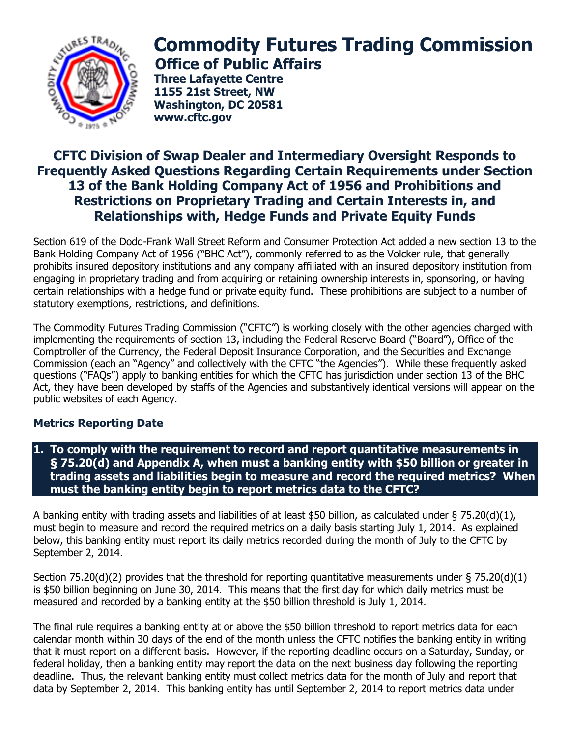

# **Commodity Futures Trading Commission Office of Public Affairs**

**Three Lafayette Centre 1155 21st Street, NW Washington, DC 20581 www.cftc.gov**

## **CFTC Division of Swap Dealer and Intermediary Oversight Responds to Frequently Asked Questions Regarding Certain Requirements under Section 13 of the Bank Holding Company Act of 1956 and Prohibitions and Restrictions on Proprietary Trading and Certain Interests in, and Relationships with, Hedge Funds and Private Equity Funds**

Section 619 of the Dodd-Frank Wall Street Reform and Consumer Protection Act added a new section 13 to the Bank Holding Company Act of 1956 ("BHC Act"), commonly referred to as the Volcker rule, that generally prohibits insured depository institutions and any company affiliated with an insured depository institution from engaging in proprietary trading and from acquiring or retaining ownership interests in, sponsoring, or having certain relationships with a hedge fund or private equity fund. These prohibitions are subject to a number of statutory exemptions, restrictions, and definitions.

The Commodity Futures Trading Commission ("CFTC") is working closely with the other agencies charged with implementing the requirements of section 13, including the Federal Reserve Board ("Board"), Office of the Comptroller of the Currency, the Federal Deposit Insurance Corporation, and the Securities and Exchange Commission (each an "Agency" and collectively with the CFTC "the Agencies"). While these frequently asked questions ("FAQs") apply to banking entities for which the CFTC has jurisdiction under section 13 of the BHC Act, they have been developed by staffs of the Agencies and substantively identical versions will appear on the public websites of each Agency.

## **Metrics Reporting Date**

**1. To comply with the requirement to record and report quantitative measurements in § 75.20(d) and Appendix A, when must a banking entity with \$50 billion or greater in trading assets and liabilities begin to measure and record the required metrics? When must the banking entity begin to report metrics data to the CFTC?**

A banking entity with trading assets and liabilities of at least \$50 billion, as calculated under  $\S 75.20(d)(1)$ , must begin to measure and record the required metrics on a daily basis starting July 1, 2014. As explained below, this banking entity must report its daily metrics recorded during the month of July to the CFTC by September 2, 2014.

Section 75.20(d)(2) provides that the threshold for reporting quantitative measurements under  $\S$  75.20(d)(1) is \$50 billion beginning on June 30, 2014. This means that the first day for which daily metrics must be measured and recorded by a banking entity at the \$50 billion threshold is July 1, 2014.

The final rule requires a banking entity at or above the \$50 billion threshold to report metrics data for each calendar month within 30 days of the end of the month unless the CFTC notifies the banking entity in writing that it must report on a different basis. However, if the reporting deadline occurs on a Saturday, Sunday, or federal holiday, then a banking entity may report the data on the next business day following the reporting deadline. Thus, the relevant banking entity must collect metrics data for the month of July and report that data by September 2, 2014. This banking entity has until September 2, 2014 to report metrics data under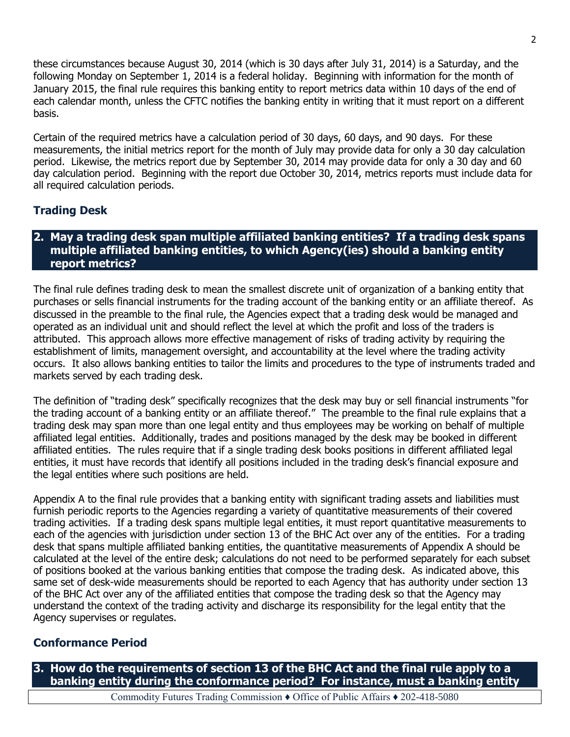these circumstances because August 30, 2014 (which is 30 days after July 31, 2014) is a Saturday, and the following Monday on September 1, 2014 is a federal holiday. Beginning with information for the month of January 2015, the final rule requires this banking entity to report metrics data within 10 days of the end of each calendar month, unless the CFTC notifies the banking entity in writing that it must report on a different basis.

Certain of the required metrics have a calculation period of 30 days, 60 days, and 90 days. For these measurements, the initial metrics report for the month of July may provide data for only a 30 day calculation period. Likewise, the metrics report due by September 30, 2014 may provide data for only a 30 day and 60 day calculation period. Beginning with the report due October 30, 2014, metrics reports must include data for all required calculation periods.

## **Trading Desk**

#### **2. May a trading desk span multiple affiliated banking entities? If a trading desk spans multiple affiliated banking entities, to which Agency(ies) should a banking entity report metrics?**

The final rule defines trading desk to mean the smallest discrete unit of organization of a banking entity that purchases or sells financial instruments for the trading account of the banking entity or an affiliate thereof. As discussed in the preamble to the final rule, the Agencies expect that a trading desk would be managed and operated as an individual unit and should reflect the level at which the profit and loss of the traders is attributed. This approach allows more effective management of risks of trading activity by requiring the establishment of limits, management oversight, and accountability at the level where the trading activity occurs. It also allows banking entities to tailor the limits and procedures to the type of instruments traded and markets served by each trading desk.

The definition of "trading desk" specifically recognizes that the desk may buy or sell financial instruments "for the trading account of a banking entity or an affiliate thereof." The preamble to the final rule explains that a trading desk may span more than one legal entity and thus employees may be working on behalf of multiple affiliated legal entities. Additionally, trades and positions managed by the desk may be booked in different affiliated entities. The rules require that if a single trading desk books positions in different affiliated legal entities, it must have records that identify all positions included in the trading desk's financial exposure and the legal entities where such positions are held.

Appendix A to the final rule provides that a banking entity with significant trading assets and liabilities must furnish periodic reports to the Agencies regarding a variety of quantitative measurements of their covered trading activities. If a trading desk spans multiple legal entities, it must report quantitative measurements to each of the agencies with jurisdiction under section 13 of the BHC Act over any of the entities. For a trading desk that spans multiple affiliated banking entities, the quantitative measurements of Appendix A should be calculated at the level of the entire desk; calculations do not need to be performed separately for each subset of positions booked at the various banking entities that compose the trading desk. As indicated above, this same set of desk-wide measurements should be reported to each Agency that has authority under section 13 of the BHC Act over any of the affiliated entities that compose the trading desk so that the Agency may understand the context of the trading activity and discharge its responsibility for the legal entity that the Agency supervises or regulates.

#### **Conformance Period**

**3. How do the requirements of section 13 of the BHC Act and the final rule apply to a banking entity during the conformance period? For instance, must a banking entity** 

Commodity Futures Trading Commission ♦ Office of Public Affairs ♦ 202-418-5080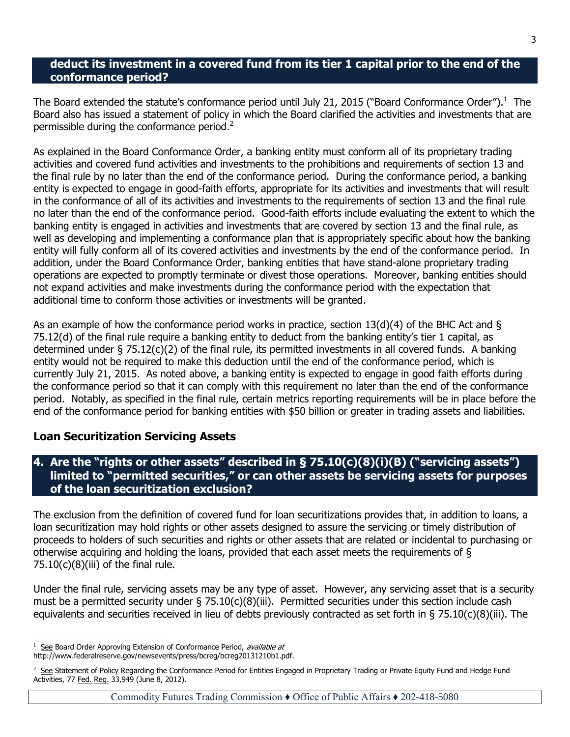#### **deduct its investment in a covered fund from its tier 1 capital prior to the end of the conformance period?**

The Board extended the statute's conformance period until July 21, 2015 ("Board Conformance Order").<sup>1</sup> The Board also has issued a statement of policy in which the Board clarified the activities and investments that are permissible during the conformance period. $2^2$ 

As explained in the Board Conformance Order, a banking entity must conform all of its proprietary trading activities and covered fund activities and investments to the prohibitions and requirements of section 13 and the final rule by no later than the end of the conformance period. During the conformance period, a banking entity is expected to engage in good-faith efforts, appropriate for its activities and investments that will result in the conformance of all of its activities and investments to the requirements of section 13 and the final rule no later than the end of the conformance period. Good-faith efforts include evaluating the extent to which the banking entity is engaged in activities and investments that are covered by section 13 and the final rule, as well as developing and implementing a conformance plan that is appropriately specific about how the banking entity will fully conform all of its covered activities and investments by the end of the conformance period. In addition, under the Board Conformance Order, banking entities that have stand-alone proprietary trading operations are expected to promptly terminate or divest those operations. Moreover, banking entities should not expand activities and make investments during the conformance period with the expectation that additional time to conform those activities or investments will be granted.

As an example of how the conformance period works in practice, section  $13(d)(4)$  of the BHC Act and § 75.12(d) of the final rule require a banking entity to deduct from the banking entity's tier 1 capital, as determined under § 75.12(c)(2) of the final rule, its permitted investments in all covered funds. A banking entity would not be required to make this deduction until the end of the conformance period, which is currently July 21, 2015. As noted above, a banking entity is expected to engage in good faith efforts during the conformance period so that it can comply with this requirement no later than the end of the conformance period. Notably, as specified in the final rule, certain metrics reporting requirements will be in place before the end of the conformance period for banking entities with \$50 billion or greater in trading assets and liabilities.

#### **Loan Securitization Servicing Assets**

#### **4. Are the "rights or other assets" described in § 75.10(c)(8)(i)(B) ("servicing assets") limited to "permitted securities," or can other assets be servicing assets for purposes of the loan securitization exclusion?**

The exclusion from the definition of covered fund for loan securitizations provides that, in addition to loans, a loan securitization may hold rights or other assets designed to assure the servicing or timely distribution of proceeds to holders of such securities and rights or other assets that are related or incidental to purchasing or otherwise acquiring and holding the loans, provided that each asset meets the requirements of §  $75.10(c)(8)$ (iii) of the final rule.

Under the final rule, servicing assets may be any type of asset. However, any servicing asset that is a security must be a permitted security under § 75.10(c)(8)(iii). Permitted securities under this section include cash equivalents and securities received in lieu of debts previously contracted as set forth in § 75.10(c)(8)(iii). The

 $\overline{a}$ 

<sup>1</sup> See Board Order Approving Extension of Conformance Period, available at

http://www.federalreserve.gov/newsevents/press/bcreg/bcreg20131210b1.pdf.

<sup>&</sup>lt;sup>2</sup> See Statement of Policy Regarding the Conformance Period for Entities Engaged in Proprietary Trading or Private Equity Fund and Hedge Fund Activities, 77 Fed. Reg. 33,949 (June 8, 2012).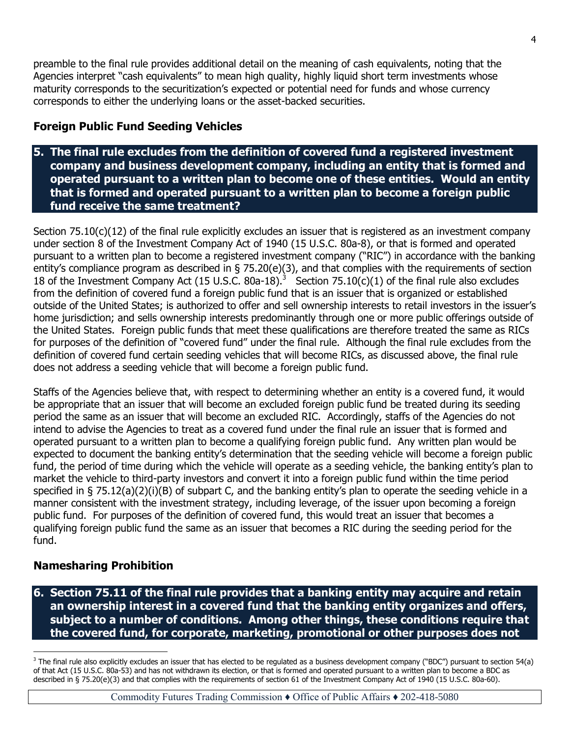preamble to the final rule provides additional detail on the meaning of cash equivalents, noting that the Agencies interpret "cash equivalents" to mean high quality, highly liquid short term investments whose maturity corresponds to the securitization's expected or potential need for funds and whose currency corresponds to either the underlying loans or the asset-backed securities.

## **Foreign Public Fund Seeding Vehicles**

#### **5. The final rule excludes from the definition of covered fund a registered investment company and business development company, including an entity that is formed and operated pursuant to a written plan to become one of these entities. Would an entity that is formed and operated pursuant to a written plan to become a foreign public fund receive the same treatment?**

Section 75.10(c)(12) of the final rule explicitly excludes an issuer that is registered as an investment company under section 8 of the Investment Company Act of 1940 (15 U.S.C. 80a-8), or that is formed and operated pursuant to a written plan to become a registered investment company ("RIC") in accordance with the banking entity's compliance program as described in § 75.20(e)(3), and that complies with the requirements of section 18 of the Investment Company Act (15 U.S.C. 80a-18).<sup>3</sup> Section 75.10(c)(1) of the final rule also excludes from the definition of covered fund a foreign public fund that is an issuer that is organized or established outside of the United States; is authorized to offer and sell ownership interests to retail investors in the issuer's home jurisdiction; and sells ownership interests predominantly through one or more public offerings outside of the United States. Foreign public funds that meet these qualifications are therefore treated the same as RICs for purposes of the definition of "covered fund" under the final rule. Although the final rule excludes from the definition of covered fund certain seeding vehicles that will become RICs, as discussed above, the final rule does not address a seeding vehicle that will become a foreign public fund.

Staffs of the Agencies believe that, with respect to determining whether an entity is a covered fund, it would be appropriate that an issuer that will become an excluded foreign public fund be treated during its seeding period the same as an issuer that will become an excluded RIC. Accordingly, staffs of the Agencies do not intend to advise the Agencies to treat as a covered fund under the final rule an issuer that is formed and operated pursuant to a written plan to become a qualifying foreign public fund. Any written plan would be expected to document the banking entity's determination that the seeding vehicle will become a foreign public fund, the period of time during which the vehicle will operate as a seeding vehicle, the banking entity's plan to market the vehicle to third-party investors and convert it into a foreign public fund within the time period specified in § 75.12(a)(2)(i)(B) of subpart C, and the banking entity's plan to operate the seeding vehicle in a manner consistent with the investment strategy, including leverage, of the issuer upon becoming a foreign public fund. For purposes of the definition of covered fund, this would treat an issuer that becomes a qualifying foreign public fund the same as an issuer that becomes a RIC during the seeding period for the fund.

## **Namesharing Prohibition**

 $\overline{a}$ 

**6. Section 75.11 of the final rule provides that a banking entity may acquire and retain an ownership interest in a covered fund that the banking entity organizes and offers, subject to a number of conditions. Among other things, these conditions require that the covered fund, for corporate, marketing, promotional or other purposes does not** 

 $3$  The final rule also explicitly excludes an issuer that has elected to be regulated as a business development company ("BDC") pursuant to section 54(a) of that Act (15 U.S.C. 80a-53) and has not withdrawn its election, or that is formed and operated pursuant to a written plan to become a BDC as described in § 75.20(e)(3) and that complies with the requirements of section 61 of the Investment Company Act of 1940 (15 U.S.C. 80a-60).